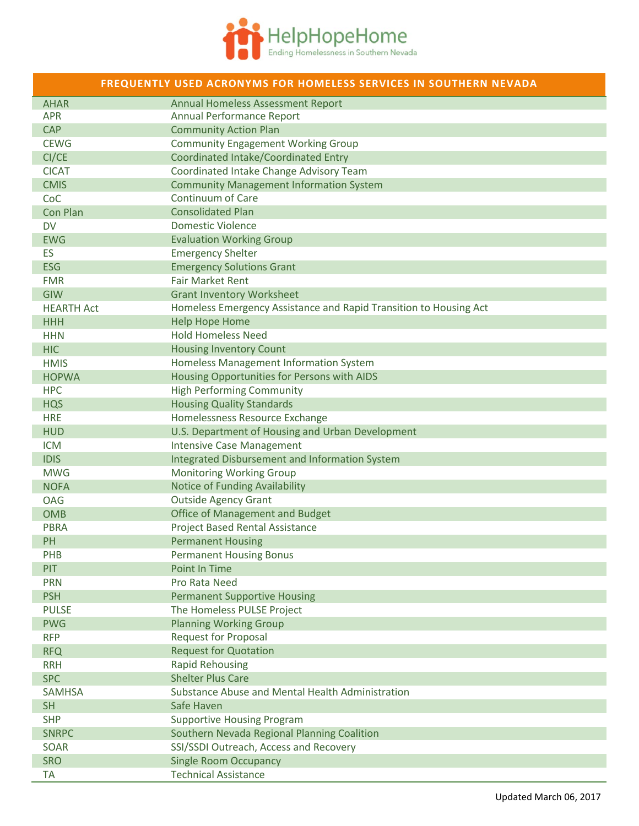

| FREQUENTLY USED ACRONYMS FOR HOMELESS SERVICES IN SOUTHERN NEVADA |                                                                   |
|-------------------------------------------------------------------|-------------------------------------------------------------------|
| <b>AHAR</b>                                                       | Annual Homeless Assessment Report                                 |
| <b>APR</b>                                                        | Annual Performance Report                                         |
| <b>CAP</b>                                                        | <b>Community Action Plan</b>                                      |
| <b>CEWG</b>                                                       | <b>Community Engagement Working Group</b>                         |
| CI/CE                                                             | Coordinated Intake/Coordinated Entry                              |
| <b>CICAT</b>                                                      | Coordinated Intake Change Advisory Team                           |
| <b>CMIS</b>                                                       | <b>Community Management Information System</b>                    |
| CoC                                                               | <b>Continuum of Care</b>                                          |
| Con Plan                                                          | <b>Consolidated Plan</b>                                          |
| <b>DV</b>                                                         | <b>Domestic Violence</b>                                          |
| <b>EWG</b>                                                        | <b>Evaluation Working Group</b>                                   |
| <b>ES</b>                                                         | <b>Emergency Shelter</b>                                          |
| <b>ESG</b>                                                        | <b>Emergency Solutions Grant</b>                                  |
| <b>FMR</b>                                                        | <b>Fair Market Rent</b>                                           |
| GIW                                                               | <b>Grant Inventory Worksheet</b>                                  |
| <b>HEARTH Act</b>                                                 | Homeless Emergency Assistance and Rapid Transition to Housing Act |
| <b>HHH</b>                                                        | <b>Help Hope Home</b>                                             |
| <b>HHN</b>                                                        | <b>Hold Homeless Need</b>                                         |
| <b>HIC</b>                                                        | <b>Housing Inventory Count</b>                                    |
| <b>HMIS</b>                                                       | Homeless Management Information System                            |
| <b>HOPWA</b>                                                      | Housing Opportunities for Persons with AIDS                       |
| <b>HPC</b>                                                        | <b>High Performing Community</b>                                  |
| <b>HQS</b>                                                        | <b>Housing Quality Standards</b>                                  |
| <b>HRE</b>                                                        | Homelessness Resource Exchange                                    |
| <b>HUD</b>                                                        | U.S. Department of Housing and Urban Development                  |
| <b>ICM</b>                                                        | <b>Intensive Case Management</b>                                  |
| <b>IDIS</b>                                                       | Integrated Disbursement and Information System                    |
| <b>MWG</b>                                                        | <b>Monitoring Working Group</b>                                   |
| <b>NOFA</b>                                                       | Notice of Funding Availability                                    |
| <b>OAG</b>                                                        | <b>Outside Agency Grant</b>                                       |
| <b>OMB</b>                                                        | <b>Office of Management and Budget</b>                            |
| <b>PBRA</b>                                                       | <b>Project Based Rental Assistance</b>                            |
| PH                                                                | <b>Permanent Housing</b>                                          |
| PHB                                                               | <b>Permanent Housing Bonus</b>                                    |
| <b>PIT</b>                                                        | Point In Time                                                     |
| <b>PRN</b>                                                        | Pro Rata Need                                                     |
| <b>PSH</b>                                                        | <b>Permanent Supportive Housing</b>                               |
| <b>PULSE</b>                                                      | The Homeless PULSE Project                                        |
| <b>PWG</b>                                                        | <b>Planning Working Group</b>                                     |
| <b>RFP</b>                                                        | <b>Request for Proposal</b>                                       |
| <b>RFQ</b>                                                        | <b>Request for Quotation</b>                                      |
| <b>RRH</b>                                                        | <b>Rapid Rehousing</b>                                            |
| <b>SPC</b>                                                        | <b>Shelter Plus Care</b>                                          |
| <b>SAMHSA</b>                                                     | Substance Abuse and Mental Health Administration                  |
| <b>SH</b>                                                         | Safe Haven                                                        |
| <b>SHP</b>                                                        | <b>Supportive Housing Program</b>                                 |
| <b>SNRPC</b>                                                      | Southern Nevada Regional Planning Coalition                       |
| <b>SOAR</b>                                                       | SSI/SSDI Outreach, Access and Recovery                            |
| <b>SRO</b>                                                        | <b>Single Room Occupancy</b>                                      |
| <b>TA</b>                                                         | <b>Technical Assistance</b>                                       |